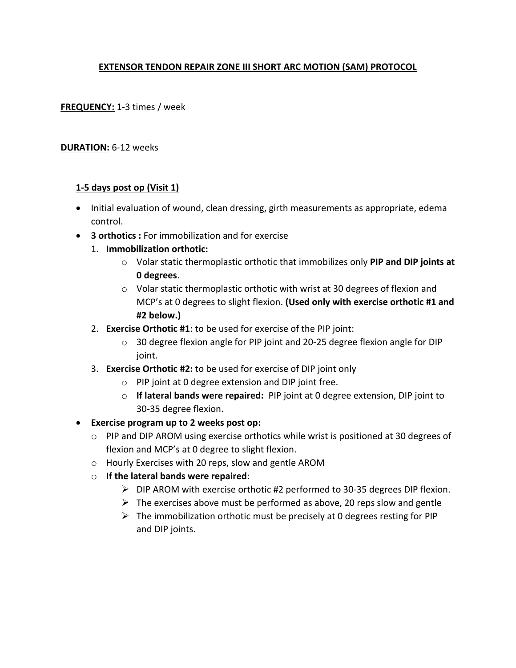# **EXTENSOR TENDON REPAIR ZONE III SHORT ARC MOTION (SAM) PROTOCOL**

**FREQUENCY:** 1-3 times / week

### **DURATION:** 6-12 weeks

### **1-5 days post op (Visit 1)**

- Initial evaluation of wound, clean dressing, girth measurements as appropriate, edema control.
- **3 orthotics :** For immobilization and for exercise
	- 1. **Immobilization orthotic:**
		- o Volar static thermoplastic orthotic that immobilizes only **PIP and DIP joints at 0 degrees**.
		- $\circ$  Volar static thermoplastic orthotic with wrist at 30 degrees of flexion and MCP's at 0 degrees to slight flexion. **(Used only with exercise orthotic #1 and #2 below.)**
	- 2. **Exercise Orthotic #1**: to be used for exercise of the PIP joint:
		- $\circ$  30 degree flexion angle for PIP joint and 20-25 degree flexion angle for DIP joint.
	- 3. **Exercise Orthotic #2:** to be used for exercise of DIP joint only
		- o PIP joint at 0 degree extension and DIP joint free.
		- o **If lateral bands were repaired:** PIP joint at 0 degree extension, DIP joint to 30-35 degree flexion.
- **Exercise program up to 2 weeks post op:** 
	- o PIP and DIP AROM using exercise orthotics while wrist is positioned at 30 degrees of flexion and MCP's at 0 degree to slight flexion.
	- o Hourly Exercises with 20 reps, slow and gentle AROM
	- o **If the lateral bands were repaired**:
		- $\triangleright$  DIP AROM with exercise orthotic #2 performed to 30-35 degrees DIP flexion.
		- $\triangleright$  The exercises above must be performed as above, 20 reps slow and gentle
		- $\triangleright$  The immobilization orthotic must be precisely at 0 degrees resting for PIP and DIP joints.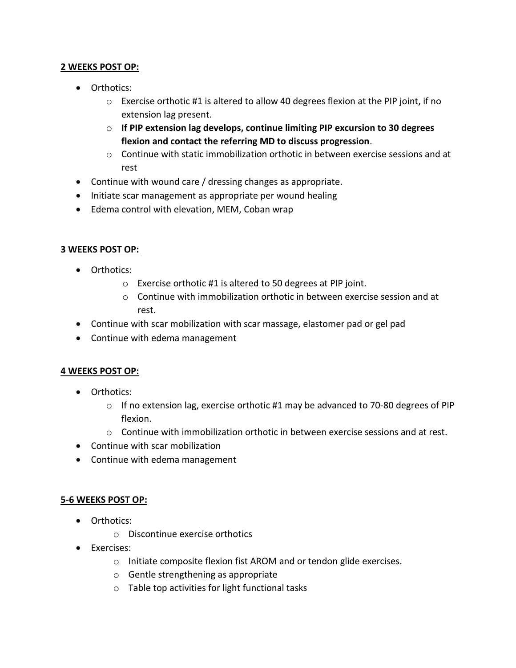## **2 WEEKS POST OP:**

- Orthotics:
	- o Exercise orthotic #1 is altered to allow 40 degrees flexion at the PIP joint, if no extension lag present.
	- o **If PIP extension lag develops, continue limiting PIP excursion to 30 degrees flexion and contact the referring MD to discuss progression**.
	- $\circ$  Continue with static immobilization orthotic in between exercise sessions and at rest
- Continue with wound care / dressing changes as appropriate.
- Initiate scar management as appropriate per wound healing
- Edema control with elevation, MEM, Coban wrap

#### **3 WEEKS POST OP:**

- Orthotics:
	- o Exercise orthotic #1 is altered to 50 degrees at PIP joint.
	- $\circ$  Continue with immobilization orthotic in between exercise session and at rest.
- Continue with scar mobilization with scar massage, elastomer pad or gel pad
- Continue with edema management

#### **4 WEEKS POST OP:**

- Orthotics:
	- $\circ$  If no extension lag, exercise orthotic #1 may be advanced to 70-80 degrees of PIP flexion.
	- $\circ$  Continue with immobilization orthotic in between exercise sessions and at rest.
- Continue with scar mobilization
- Continue with edema management

#### **5-6 WEEKS POST OP:**

- Orthotics:
	- o Discontinue exercise orthotics
- Exercises:
	- o Initiate composite flexion fist AROM and or tendon glide exercises.
	- o Gentle strengthening as appropriate
	- o Table top activities for light functional tasks